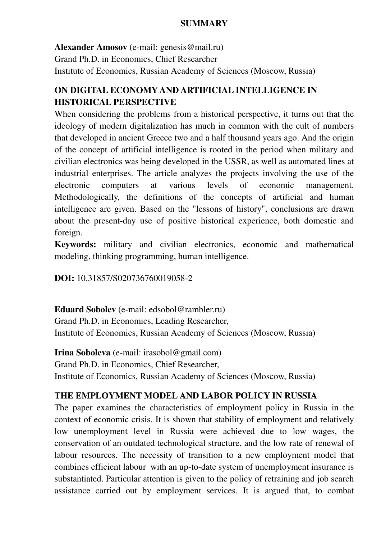### **SUMMARY**

**Alexander Amosov** (e-mail: genesis@mail.ru) Grand Ph.D. in Economics, Chief Researcher Institute of Economics, Russian Academy of Sciences (Moscow, Russia)

# **ON DIGITAL ECONOMY AND ARTIFICIAL INTELLIGENCE IN HISTORICAL PERSPECTIVE**

When considering the problems from a historical perspective, it turns out that the ideology of modern digitalization has much in common with the cult of numbers that developed in ancient Greece two and a half thousand years ago. And the origin of the concept of artificial intelligence is rooted in the period when military and civilian electronics was being developed in the USSR, as well as automated lines at industrial enterprises. The article analyzes the projects involving the use of the electronic computers at various levels of economic management. Methodologically, the definitions of the concepts of artificial and human intelligence are given. Based on the "lessons of history", conclusions are drawn about the present-day use of positive historical experience, both domestic and foreign.

**Keywords:** military and civilian electronics, economic and mathematical modeling, thinking programming, human intelligence.

**DOI:** 10.31857/S020736760019058-2

**Eduard Sobolev** (e-mail: edsobol@rambler.ru) Grand Ph.D. in Economics, Leading Researcher, Institute of Economics, Russian Academy of Sciences (Moscow, Russia)

**Irina Soboleva** (e-mail: irasobol@gmail.com) Grand Ph.D. in Economics, Chief Researcher, Institute of Economics, Russian Academy of Sciences (Moscow, Russia)

## **THE EMPLOYMENT MODEL AND LABOR POLICY IN RUSSIA**

The paper examines the characteristics of employment policy in Russia in the context of economic crisis. It is shown that stability of employment and relatively low unemployment level in Russia were achieved due to low wages, the conservation of an outdated technological structure, and the low rate of renewal of labour resources. The necessity of transition to a new employment model that combines efficient labour with an up-to-date system of unemployment insurance is substantiated. Particular attention is given to the policy of retraining and job search assistance carried out by employment services. It is argued that, to combat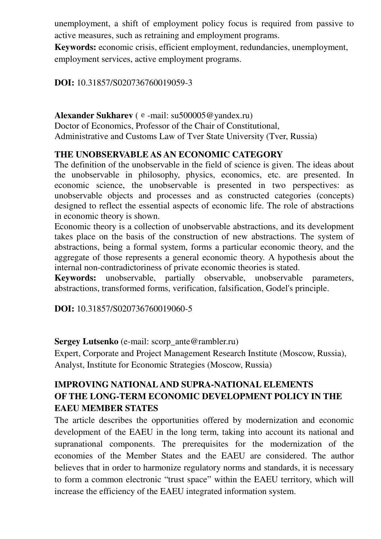unemployment, a shift of employment policy focus is required from passive to active measures, such as retraining and employment programs.

**Keywords:** economic crisis, efficient employment, redundancies, unemployment, employment services, active employment programs.

**DOI:** 10.31857/S020736760019059-3

Alexander Sukharev (e-mail: su500005@yandex.ru) Doctor of Economics, Professor of the Chair of Constitutional, Administrative and Customs Law of Tver State University (Tver, Russia)

## **THE UNOBSERVABLE AS AN ECONOMIC CATEGORY**

The definition of the unobservable in the field of science is given. The ideas about the unobservable in philosophy, physics, economics, etc. are presented. In economic science, the unobservable is presented in two perspectives: as unobservable objects and processes and as constructed categories (concepts) designed to reflect the essential aspects of economic life. The role of abstractions in economic theory is shown.

Economic theory is a collection of unobservable abstractions, and its development takes place on the basis of the construction of new abstractions. The system of abstractions, being a formal system, forms a particular economic theory, and the aggregate of those represents a general economic theory. A hypothesis about the internal non-contradictoriness of private economic theories is stated.

**Keywords:** unobservable, partially observable, unobservable parameters, abstractions, transformed forms, verification, falsification, Godel's principle.

**DOI:** 10.31857/S020736760019060-5

**Sergey Lutsenko** (e-mail: scorp\_ante@rambler.ru)

Expert, Corporate and Project Management Research Institute (Moscow, Russia), Analyst, Institute for Economic Strategies (Moscow, Russia)

# **IMPROVING NATIONAL AND SUPRA-NATIONAL ELEMENTS OF THE LONG-TERM ECONOMIC DEVELOPMENT POLICY IN THE EAEU MEMBER STATES**

The article describes the opportunities offered by modernization and economic development of the EAEU in the long term, taking into account its national and supranational components. The prerequisites for the modernization of the economies of the Member States and the EAEU are considered. The author believes that in order to harmonize regulatory norms and standards, it is necessary to form a common electronic "trust space" within the EAEU territory, which will increase the efficiency of the EAEU integrated information system.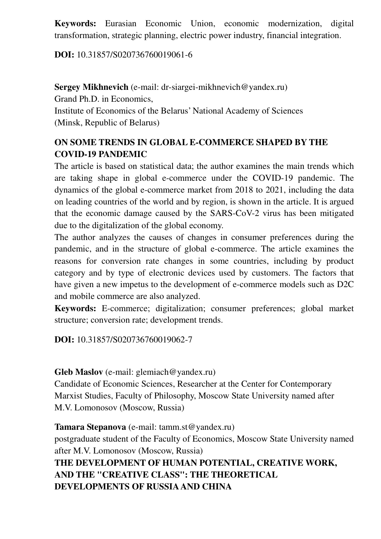**Keywords:** Eurasian Economic Union, economic modernization, digital transformation, strategic planning, electric power industry, financial integration.

## **DOI:** 10.31857/S020736760019061-6

**Sergey Mikhnevich** (e-mail: dr-siargei-mikhnevich@yandex.ru) Grand Ph.D. in Economics, Institute of Economics of the Belarus' National Academy of Sciences (Minsk, Republic of Belarus)

# **ON SOME TRENDS IN GLOBAL E-COMMERCE SHAPED BY THE COVID-19 PANDEMIC**

The article is based on statistical data; the author examines the main trends which are taking shape in global e-commerce under the COVID-19 pandemic. The dynamics of the global e-commerce market from 2018 to 2021, including the data on leading countries of the world and by region, is shown in the article. It is argued that the economic damage caused by the SARS-CoV-2 virus has been mitigated due to the digitalization of the global economy.

The author analyzes the causes of changes in consumer preferences during the pandemic, and in the structure of global e-commerce. The article examines the reasons for conversion rate changes in some countries, including by product category and by type of electronic devices used by customers. The factors that have given a new impetus to the development of e-commerce models such as D2C and mobile commerce are also analyzed.

**Keywords:** E-commerce; digitalization; consumer preferences; global market structure; conversion rate; development trends.

**DOI:** 10.31857/S020736760019062-7

**Gleb Maslov** (e-mail: glemiach@yandex.ru)

Candidate of Economic Sciences, Researcher at the Center for Contemporary Marxist Studies, Faculty of Philosophy, Moscow State University named after M.V. Lomonosov (Moscow, Russia)

**Tamara Stepanova** (e-mail: tamm.st@yandex.ru) postgraduate student of the Faculty of Economics, Moscow State University named after M.V. Lomonosov (Moscow, Russia) **THE DEVELOPMENT OF HUMAN POTENTIAL, CREATIVE WORK, AND THE "CREATIVE CLASS": THE THEORETICAL DEVELOPMENTS OF RUSSIA AND CHINA**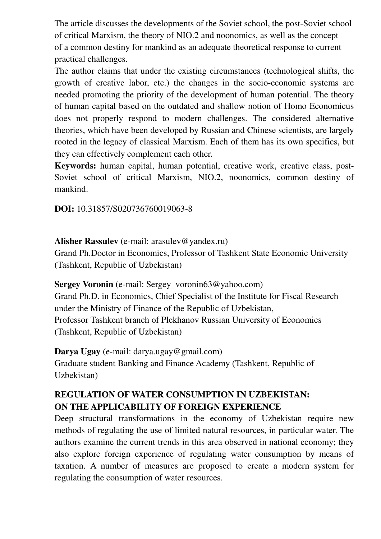The article discusses the developments of the Soviet school, the post-Soviet school of critical Marxism, the theory of NIO.2 and noonomics, as well as the concept of a common destiny for mankind as an adequate theoretical response to current practical challenges.

The author claims that under the existing circumstances (technological shifts, the growth of creative labor, etc.) the changes in the socio-economic systems are needed promoting the priority of the development of human potential. The theory of human capital based on the outdated and shallow notion of Homo Economicus does not properly respond to modern challenges. The considered alternative theories, which have been developed by Russian and Chinese scientists, are largely rooted in the legacy of classical Marxism. Each of them has its own specifics, but they can effectively complement each other.

**Keywords:** human capital, human potential, creative work, creative class, post-Soviet school of critical Marxism, NIO.2, noonomics, common destiny of mankind.

**DOI:** 10.31857/S020736760019063-8

## **Alisher Rassulev** (e-mail: arasulev@yandex.ru)

Grand Ph.Doctor in Economics, Professor of Tashkent State Economic University (Tashkent, Republic of Uzbekistan)

**Sergey Voronin** (e-mail: Sergey voronin63@yahoo.com) Grand Ph.D. in Economics, Chief Specialist of the Institute for Fiscal Research under the Ministry of Finance of the Republic of Uzbekistan, Professor Tashkent branch of Plekhanov Russian University of Economics (Tashkent, Republic of Uzbekistan)

**Darya Ugay** (e-mail: darya.ugay@gmail.com) Graduate student Banking and Finance Academy (Tashkent, Republic of Uzbekistan)

# **REGULATION OF WATER CONSUMPTION IN UZBEKISTAN: ON THE APPLICABILITY OF FOREIGN EXPERIENCE**

Deep structural transformations in the economy of Uzbekistan require new methods of regulating the use of limited natural resources, in particular water. The authors examine the current trends in this area observed in national economy; they also explore foreign experience of regulating water consumption by means of taxation. A number of measures are proposed to create a modern system for regulating the consumption of water resources.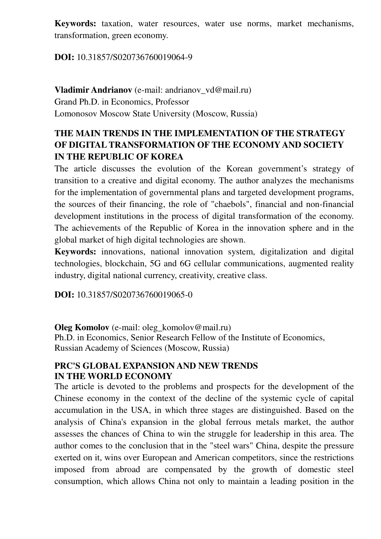**Keywords:** taxation, water resources, water use norms, market mechanisms, transformation, green economy.

### **DOI:** 10.31857/S020736760019064-9

**Vladimir Andrianov** (e-mail: andrianov vd@mail.ru) Grand Ph.D. in Economics, Professor Lomonosov Moscow State University (Moscow, Russia)

# **THE MAIN TRENDS IN THE IMPLEMENTATION OF THE STRATEGY OF DIGITAL TRANSFORMATION OF THE ECONOMY AND SOCIETY IN THE REPUBLIC OF KOREA**

The article discusses the evolution of the Korean government's strategy of transition to a creative and digital economy. The author analyzes the mechanisms for the implementation of governmental plans and targeted development programs, the sources of their financing, the role of "chaebols", financial and non-financial development institutions in the process of digital transformation of the economy. The achievements of the Republic of Korea in the innovation sphere and in the global market of high digital technologies are shown.

**Keywords:** innovations, national innovation system, digitalization and digital technologies, blockchain, 5G and 6G cellular communications, augmented reality industry, digital national currency, creativity, creative class.

**DOI:** 10.31857/S020736760019065-0

**Oleg Komolov** (e-mail: oleg komolov@mail.ru)

Ph.D. in Economics, Senior Research Fellow of the Institute of Economics, Russian Academy of Sciences (Moscow, Russia)

#### **PRC'S GLOBAL EXPANSION AND NEW TRENDS IN THE WORLD ECONOMY**

The article is devoted to the problems and prospects for the development of the Chinese economy in the context of the decline of the systemic cycle of capital accumulation in the USA, in which three stages are distinguished. Based on the analysis of China's expansion in the global ferrous metals market, the author assesses the chances of China to win the struggle for leadership in this area. The author comes to the conclusion that in the "steel wars" China, despite the pressure exerted on it, wins over European and American competitors, since the restrictions imposed from abroad are compensated by the growth of domestic steel consumption, which allows China not only to maintain a leading position in the